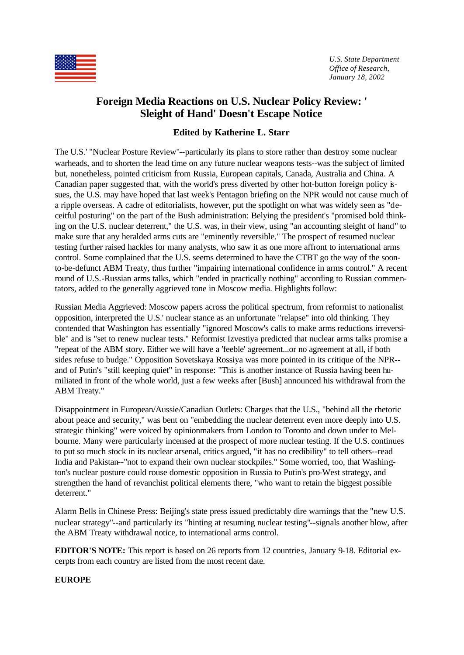

*U.S. State Department Office of Research, January 18, 2002*

# **Foreign Media Reactions on U.S. Nuclear Policy Review: ' Sleight of Hand' Doesn't Escape Notice**

# **Edited by Katherine L. Starr**

The U.S.' "Nuclear Posture Review"--particularly its plans to store rather than destroy some nuclear warheads, and to shorten the lead time on any future nuclear weapons tests--was the subject of limited but, nonetheless, pointed criticism from Russia, European capitals, Canada, Australia and China. A Canadian paper suggested that, with the world's press diverted by other hot-button foreign policy issues, the U.S. may have hoped that last week's Pentagon briefing on the NPR would not cause much of a ripple overseas. A cadre of editorialists, however, put the spotlight on what was widely seen as "deceitful posturing" on the part of the Bush administration: Belying the president's "promised bold thinking on the U.S. nuclear deterrent," the U.S. was, in their view, using "an accounting sleight of hand" to make sure that any heralded arms cuts are "eminently reversible." The prospect of resumed nuclear testing further raised hackles for many analysts, who saw it as one more affront to international arms control. Some complained that the U.S. seems determined to have the CTBT go the way of the soonto-be-defunct ABM Treaty, thus further "impairing international confidence in arms control." A recent round of U.S.-Russian arms talks, which "ended in practically nothing" according to Russian commentators, added to the generally aggrieved tone in Moscow media. Highlights follow:

Russian Media Aggrieved: Moscow papers across the political spectrum, from reformist to nationalist opposition, interpreted the U.S.' nuclear stance as an unfortunate "relapse" into old thinking. They contended that Washington has essentially "ignored Moscow's calls to make arms reductions irreversible" and is "set to renew nuclear tests." Reformist Izvestiya predicted that nuclear arms talks promise a "repeat of the ABM story. Either we will have a 'feeble' agreement...or no agreement at all, if both sides refuse to budge." Opposition Sovetskaya Rossiya was more pointed in its critique of the NPR- and of Putin's "still keeping quiet" in response: "This is another instance of Russia having been humiliated in front of the whole world, just a few weeks after [Bush] announced his withdrawal from the ABM Treaty."

Disappointment in European/Aussie/Canadian Outlets: Charges that the U.S., "behind all the rhetoric about peace and security," was bent on "embedding the nuclear deterrent even more deeply into U.S. strategic thinking" were voiced by opinionmakers from London to Toronto and down under to Melbourne. Many were particularly incensed at the prospect of more nuclear testing. If the U.S. continues to put so much stock in its nuclear arsenal, critics argued, "it has no credibility" to tell others--read India and Pakistan--"not to expand their own nuclear stockpiles." Some worried, too, that Washington's nuclear posture could rouse domestic opposition in Russia to Putin's pro-West strategy, and strengthen the hand of revanchist political elements there, "who want to retain the biggest possible deterrent."

Alarm Bells in Chinese Press: Beijing's state press issued predictably dire warnings that the "new U.S. nuclear strategy"--and particularly its "hinting at resuming nuclear testing"--signals another blow, after the ABM Treaty withdrawal notice, to international arms control.

**EDITOR'S NOTE:** This report is based on 26 reports from 12 countries, January 9-18. Editorial excerpts from each country are listed from the most recent date.

## **EUROPE**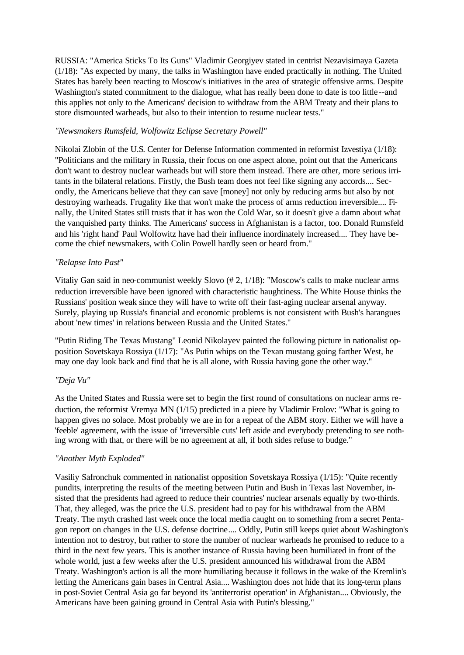RUSSIA: "America Sticks To Its Guns" Vladimir Georgiyev stated in centrist Nezavisimaya Gazeta (1/18): "As expected by many, the talks in Washington have ended practically in nothing. The United States has barely been reacting to Moscow's initiatives in the area of strategic offensive arms. Despite Washington's stated commitment to the dialogue, what has really been done to date is too little--and this applies not only to the Americans' decision to withdraw from the ABM Treaty and their plans to store dismounted warheads, but also to their intention to resume nuclear tests."

#### *"Newsmakers Rumsfeld, Wolfowitz Eclipse Secretary Powell"*

Nikolai Zlobin of the U.S. Center for Defense Information commented in reformist Izvestiya (1/18): "Politicians and the military in Russia, their focus on one aspect alone, point out that the Americans don't want to destroy nuclear warheads but will store them instead. There are other, more serious irritants in the bilateral relations. Firstly, the Bush team does not feel like signing any accords.... Secondly, the Americans believe that they can save [money] not only by reducing arms but also by not destroying warheads. Frugality like that won't make the process of arms reduction irreversible.... Finally, the United States still trusts that it has won the Cold War, so it doesn't give a damn about what the vanquished party thinks. The Americans' success in Afghanistan is a factor, too. Donald Rumsfeld and his 'right hand' Paul Wolfowitz have had their influence inordinately increased.... They have become the chief newsmakers, with Colin Powell hardly seen or heard from."

#### *"Relapse Into Past"*

Vitaliy Gan said in neo-communist weekly Slovo (# 2, 1/18): "Moscow's calls to make nuclear arms reduction irreversible have been ignored with characteristic haughtiness. The White House thinks the Russians' position weak since they will have to write off their fast-aging nuclear arsenal anyway. Surely, playing up Russia's financial and economic problems is not consistent with Bush's harangues about 'new times' in relations between Russia and the United States."

"Putin Riding The Texas Mustang" Leonid Nikolayev painted the following picture in nationalist opposition Sovetskaya Rossiya (1/17): "As Putin whips on the Texan mustang going farther West, he may one day look back and find that he is all alone, with Russia having gone the other way."

## *"Deja Vu"*

As the United States and Russia were set to begin the first round of consultations on nuclear arms reduction, the reformist Vremya MN (1/15) predicted in a piece by Vladimir Frolov: "What is going to happen gives no solace. Most probably we are in for a repeat of the ABM story. Either we will have a 'feeble' agreement, with the issue of 'irreversible cuts' left aside and everybody pretending to see nothing wrong with that, or there will be no agreement at all, if both sides refuse to budge."

#### *"Another Myth Exploded"*

Vasiliy Safronchuk commented in nationalist opposition Sovetskaya Rossiya (1/15): "Quite recently pundits, interpreting the results of the meeting between Putin and Bush in Texas last November, insisted that the presidents had agreed to reduce their countries' nuclear arsenals equally by two-thirds. That, they alleged, was the price the U.S. president had to pay for his withdrawal from the ABM Treaty. The myth crashed last week once the local media caught on to something from a secret Pentagon report on changes in the U.S. defense doctrine.... Oddly, Putin still keeps quiet about Washington's intention not to destroy, but rather to store the number of nuclear warheads he promised to reduce to a third in the next few years. This is another instance of Russia having been humiliated in front of the whole world, just a few weeks after the U.S. president announced his withdrawal from the ABM Treaty. Washington's action is all the more humiliating because it follows in the wake of the Kremlin's letting the Americans gain bases in Central Asia.... Washington does not hide that its long-term plans in post-Soviet Central Asia go far beyond its 'antiterrorist operation' in Afghanistan.... Obviously, the Americans have been gaining ground in Central Asia with Putin's blessing."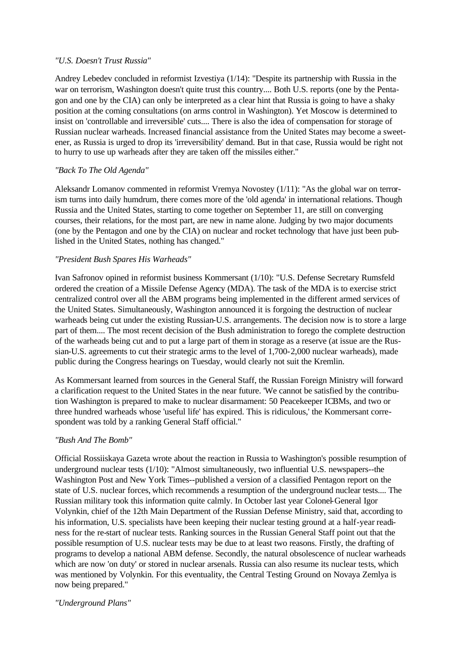#### *"U.S. Doesn't Trust Russia"*

Andrey Lebedev concluded in reformist Izvestiya (1/14): "Despite its partnership with Russia in the war on terrorism, Washington doesn't quite trust this country.... Both U.S. reports (one by the Pentagon and one by the CIA) can only be interpreted as a clear hint that Russia is going to have a shaky position at the coming consultations (on arms control in Washington). Yet Moscow is determined to insist on 'controllable and irreversible' cuts.... There is also the idea of compensation for storage of Russian nuclear warheads. Increased financial assistance from the United States may become a sweetener, as Russia is urged to drop its 'irreversibility' demand. But in that case, Russia would be right not to hurry to use up warheads after they are taken off the missiles either."

#### *"Back To The Old Agenda"*

Aleksandr Lomanov commented in reformist Vremya Novostey (1/11): "As the global war on terrorism turns into daily humdrum, there comes more of the 'old agenda' in international relations. Though Russia and the United States, starting to come together on September 11, are still on converging courses, their relations, for the most part, are new in name alone. Judging by two major documents (one by the Pentagon and one by the CIA) on nuclear and rocket technology that have just been published in the United States, nothing has changed."

#### *"President Bush Spares His Warheads"*

Ivan Safronov opined in reformist business Kommersant (1/10): "U.S. Defense Secretary Rumsfeld ordered the creation of a Missile Defense Agency (MDA). The task of the MDA is to exercise strict centralized control over all the ABM programs being implemented in the different armed services of the United States. Simultaneously, Washington announced it is forgoing the destruction of nuclear warheads being cut under the existing Russian-U.S. arrangements. The decision now is to store a large part of them.... The most recent decision of the Bush administration to forego the complete destruction of the warheads being cut and to put a large part of them in storage as a reserve (at issue are the Russian-U.S. agreements to cut their strategic arms to the level of 1,700-2,000 nuclear warheads), made public during the Congress hearings on Tuesday, would clearly not suit the Kremlin.

As Kommersant learned from sources in the General Staff, the Russian Foreign Ministry will forward a clarification request to the United States in the near future. 'We cannot be satisfied by the contribution Washington is prepared to make to nuclear disarmament: 50 Peacekeeper ICBMs, and two or three hundred warheads whose 'useful life' has expired. This is ridiculous,' the Kommersant correspondent was told by a ranking General Staff official."

#### *"Bush And The Bomb"*

Official Rossiiskaya Gazeta wrote about the reaction in Russia to Washington's possible resumption of underground nuclear tests (1/10): "Almost simultaneously, two influential U.S. newspapers--the Washington Post and New York Times--published a version of a classified Pentagon report on the state of U.S. nuclear forces, which recommends a resumption of the underground nuclear tests.... The Russian military took this information quite calmly. In October last year Colonel-General Igor Volynkin, chief of the 12th Main Department of the Russian Defense Ministry, said that, according to his information, U.S. specialists have been keeping their nuclear testing ground at a half-year readiness for the re-start of nuclear tests. Ranking sources in the Russian General Staff point out that the possible resumption of U.S. nuclear tests may be due to at least two reasons. Firstly, the drafting of programs to develop a national ABM defense. Secondly, the natural obsolescence of nuclear warheads which are now 'on duty' or stored in nuclear arsenals. Russia can also resume its nuclear tests, which was mentioned by Volynkin. For this eventuality, the Central Testing Ground on Novaya Zemlya is now being prepared."

#### *"Underground Plans"*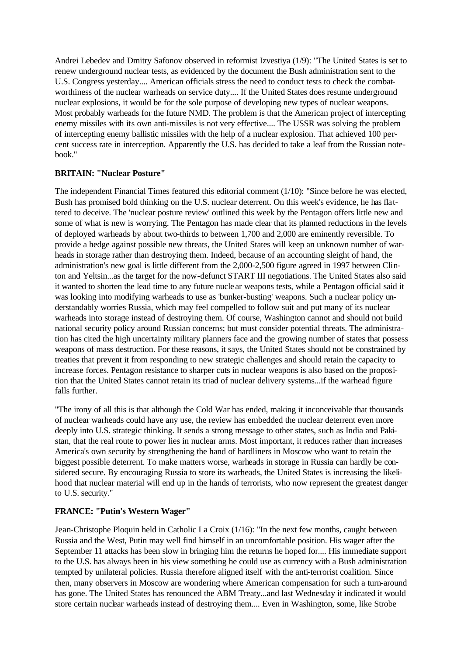Andrei Lebedev and Dmitry Safonov observed in reformist Izvestiya (1/9): "The United States is set to renew underground nuclear tests, as evidenced by the document the Bush administration sent to the U.S. Congress yesterday.... American officials stress the need to conduct tests to check the combatworthiness of the nuclear warheads on service duty.... If the United States does resume underground nuclear explosions, it would be for the sole purpose of developing new types of nuclear weapons. Most probably warheads for the future NMD. The problem is that the American project of intercepting enemy missiles with its own anti-missiles is not very effective.... The USSR was solving the problem of intercepting enemy ballistic missiles with the help of a nuclear explosion. That achieved 100 percent success rate in interception. Apparently the U.S. has decided to take a leaf from the Russian notebook."

## **BRITAIN: "Nuclear Posture"**

The independent Financial Times featured this editorial comment (1/10): "Since before he was elected, Bush has promised bold thinking on the U.S. nuclear deterrent. On this week's evidence, he has flattered to deceive. The 'nuclear posture review' outlined this week by the Pentagon offers little new and some of what is new is worrying. The Pentagon has made clear that its planned reductions in the levels of deployed warheads by about two-thirds to between 1,700 and 2,000 are eminently reversible. To provide a hedge against possible new threats, the United States will keep an unknown number of warheads in storage rather than destroying them. Indeed, because of an accounting sleight of hand, the administration's new goal is little different from the 2,000-2,500 figure agreed in 1997 between Clinton and Yeltsin...as the target for the now-defunct START III negotiations. The United States also said it wanted to shorten the lead time to any future nucle ar weapons tests, while a Pentagon official said it was looking into modifying warheads to use as 'bunker-busting' weapons. Such a nuclear policy understandably worries Russia, which may feel compelled to follow suit and put many of its nuclear warheads into storage instead of destroying them. Of course, Washington cannot and should not build national security policy around Russian concerns; but must consider potential threats. The administration has cited the high uncertainty military planners face and the growing number of states that possess weapons of mass destruction. For these reasons, it says, the United States should not be constrained by treaties that prevent it from responding to new strategic challenges and should retain the capacity to increase forces. Pentagon resistance to sharper cuts in nuclear weapons is also based on the proposition that the United States cannot retain its triad of nuclear delivery systems...if the warhead figure falls further.

"The irony of all this is that although the Cold War has ended, making it inconceivable that thousands of nuclear warheads could have any use, the review has embedded the nuclear deterrent even more deeply into U.S. strategic thinking. It sends a strong message to other states, such as India and Pakistan, that the real route to power lies in nuclear arms. Most important, it reduces rather than increases America's own security by strengthening the hand of hardliners in Moscow who want to retain the biggest possible deterrent. To make matters worse, warheads in storage in Russia can hardly be considered secure. By encouraging Russia to store its warheads, the United States is increasing the likelihood that nuclear material will end up in the hands of terrorists, who now represent the greatest danger to U.S. security."

## **FRANCE: "Putin's Western Wager"**

Jean-Christophe Ploquin held in Catholic La Croix (1/16): "In the next few months, caught between Russia and the West, Putin may well find himself in an uncomfortable position. His wager after the September 11 attacks has been slow in bringing him the returns he hoped for.... His immediate support to the U.S. has always been in his view something he could use as currency with a Bush administration tempted by unilateral policies. Russia therefore aligned itself with the anti-terrorist coalition. Since then, many observers in Moscow are wondering where American compensation for such a turn-around has gone. The United States has renounced the ABM Treaty...and last Wednesday it indicated it would store certain nuclear warheads instead of destroying them.... Even in Washington, some, like Strobe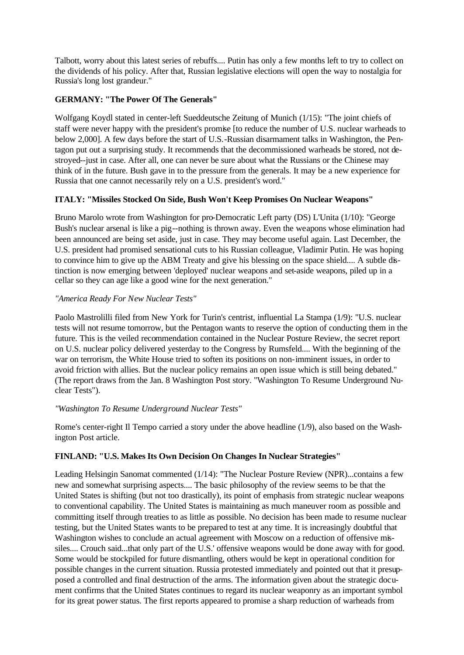Talbott, worry about this latest series of rebuffs.... Putin has only a few months left to try to collect on the dividends of his policy. After that, Russian legislative elections will open the way to nostalgia for Russia's long lost grandeur."

# **GERMANY: "The Power Of The Generals"**

Wolfgang Koydl stated in center-left Sueddeutsche Zeitung of Munich (1/15): "The joint chiefs of staff were never happy with the president's promise [to reduce the number of U.S. nuclear warheads to below 2,000]. A few days before the start of U.S.-Russian disarmament talks in Washington, the Pentagon put out a surprising study. It recommends that the decommissioned warheads be stored, not destroyed--just in case. After all, one can never be sure about what the Russians or the Chinese may think of in the future. Bush gave in to the pressure from the generals. It may be a new experience for Russia that one cannot necessarily rely on a U.S. president's word."

# **ITALY: "Missiles Stocked On Side, Bush Won't Keep Promises On Nuclear Weapons"**

Bruno Marolo wrote from Washington for pro-Democratic Left party (DS) L'Unita (1/10): "George Bush's nuclear arsenal is like a pig--nothing is thrown away. Even the weapons whose elimination had been announced are being set aside, just in case. They may become useful again. Last December, the U.S. president had promised sensational cuts to his Russian colleague, Vladimir Putin. He was hoping to convince him to give up the ABM Treaty and give his blessing on the space shield.... A subtle distinction is now emerging between 'deployed' nuclear weapons and set-aside weapons, piled up in a cellar so they can age like a good wine for the next generation."

# *"America Ready For New Nuclear Tests"*

Paolo Mastrolilli filed from New York for Turin's centrist, influential La Stampa (1/9): "U.S. nuclear tests will not resume tomorrow, but the Pentagon wants to reserve the option of conducting them in the future. This is the veiled recommendation contained in the Nuclear Posture Review, the secret report on U.S. nuclear policy delivered yesterday to the Congress by Rumsfeld.... With the beginning of the war on terrorism, the White House tried to soften its positions on non-imminent issues, in order to avoid friction with allies. But the nuclear policy remains an open issue which is still being debated." (The report draws from the Jan. 8 Washington Post story. "Washington To Resume Underground Nuclear Tests").

## *"Washington To Resume Underground Nuclear Tests"*

Rome's center-right Il Tempo carried a story under the above headline (1/9), also based on the Washington Post article.

## **FINLAND: "U.S. Makes Its Own Decision On Changes In Nuclear Strategies"**

Leading Helsingin Sanomat commented (1/14): "The Nuclear Posture Review (NPR)...contains a few new and somewhat surprising aspects.... The basic philosophy of the review seems to be that the United States is shifting (but not too drastically), its point of emphasis from strategic nuclear weapons to conventional capability. The United States is maintaining as much maneuver room as possible and committing itself through treaties to as little as possible. No decision has been made to resume nuclear testing, but the United States wants to be prepared to test at any time. It is increasingly doubtful that Washington wishes to conclude an actual agreement with Moscow on a reduction of offensive missiles.... Crouch said...that only part of the U.S.' offensive weapons would be done away with for good. Some would be stockpiled for future dismantling, others would be kept in operational condition for possible changes in the current situation. Russia protested immediately and pointed out that it presupposed a controlled and final destruction of the arms. The information given about the strategic document confirms that the United States continues to regard its nuclear weaponry as an important symbol for its great power status. The first reports appeared to promise a sharp reduction of warheads from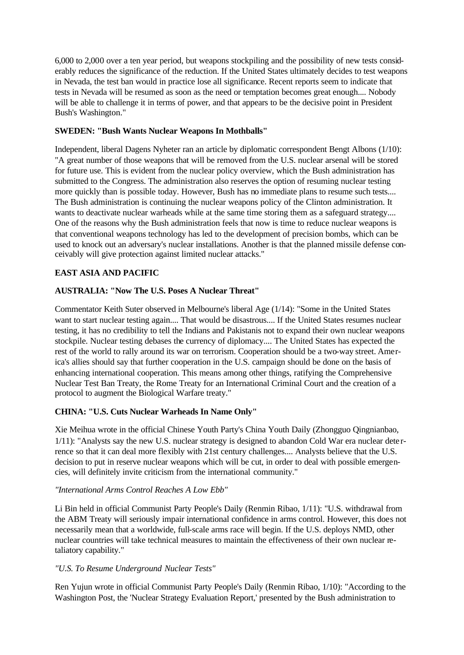6,000 to 2,000 over a ten year period, but weapons stockpiling and the possibility of new tests considerably reduces the significance of the reduction. If the United States ultimately decides to test weapons in Nevada, the test ban would in practice lose all significance. Recent reports seem to indicate that tests in Nevada will be resumed as soon as the need or temptation becomes great enough.... Nobody will be able to challenge it in terms of power, and that appears to be the decisive point in President Bush's Washington."

# **SWEDEN: "Bush Wants Nuclear Weapons In Mothballs"**

Independent, liberal Dagens Nyheter ran an article by diplomatic correspondent Bengt Albons (1/10): "A great number of those weapons that will be removed from the U.S. nuclear arsenal will be stored for future use. This is evident from the nuclear policy overview, which the Bush administration has submitted to the Congress. The administration also reserves the option of resuming nuclear testing more quickly than is possible today. However, Bush has no immediate plans to resume such tests.... The Bush administration is continuing the nuclear weapons policy of the Clinton administration. It wants to deactivate nuclear warheads while at the same time storing them as a safeguard strategy.... One of the reasons why the Bush administration feels that now is time to reduce nuclear weapons is that conventional weapons technology has led to the development of precision bombs, which can be used to knock out an adversary's nuclear installations. Another is that the planned missile defense conceivably will give protection against limited nuclear attacks."

# **EAST ASIA AND PACIFIC**

# **AUSTRALIA: "Now The U.S. Poses A Nuclear Threat"**

Commentator Keith Suter observed in Melbourne's liberal Age (1/14): "Some in the United States want to start nuclear testing again.... That would be disastrous.... If the United States resumes nuclear testing, it has no credibility to tell the Indians and Pakistanis not to expand their own nuclear weapons stockpile. Nuclear testing debases the currency of diplomacy.... The United States has expected the rest of the world to rally around its war on terrorism. Cooperation should be a two-way street. America's allies should say that further cooperation in the U.S. campaign should be done on the basis of enhancing international cooperation. This means among other things, ratifying the Comprehensive Nuclear Test Ban Treaty, the Rome Treaty for an International Criminal Court and the creation of a protocol to augment the Biological Warfare treaty."

## **CHINA: "U.S. Cuts Nuclear Warheads In Name Only"**

Xie Meihua wrote in the official Chinese Youth Party's China Youth Daily (Zhongguo Qingnianbao, 1/11): "Analysts say the new U.S. nuclear strategy is designed to abandon Cold War era nuclear dete rrence so that it can deal more flexibly with 21st century challenges.... Analysts believe that the U.S. decision to put in reserve nuclear weapons which will be cut, in order to deal with possible emergencies, will definitely invite criticism from the international community."

## *"International Arms Control Reaches A Low Ebb"*

Li Bin held in official Communist Party People's Daily (Renmin Ribao, 1/11): "U.S. withdrawal from the ABM Treaty will seriously impair international confidence in arms control. However, this does not necessarily mean that a worldwide, full-scale arms race will begin. If the U.S. deploys NMD, other nuclear countries will take technical measures to maintain the effectiveness of their own nuclear retaliatory capability."

## *"U.S. To Resume Underground Nuclear Tests"*

Ren Yujun wrote in official Communist Party People's Daily (Renmin Ribao, 1/10): "According to the Washington Post, the 'Nuclear Strategy Evaluation Report,' presented by the Bush administration to